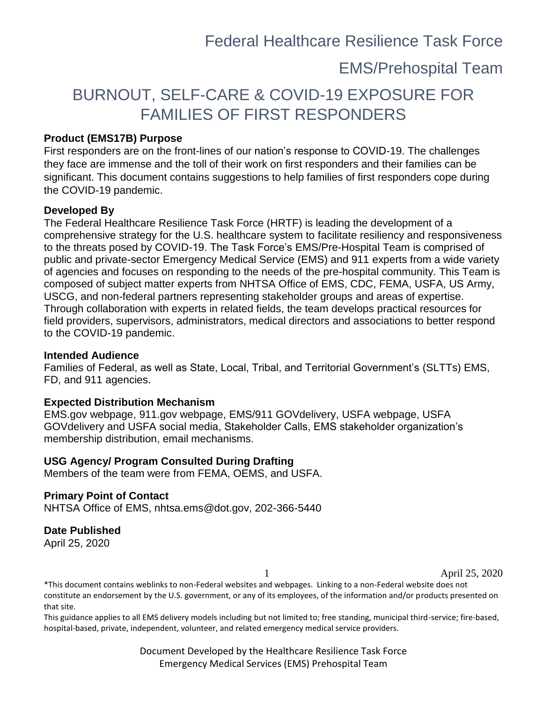Federal Healthcare Resilience Task Force

### EMS/Prehospital Team

## BURNOUT, SELF-CARE & COVID-19 EXPOSURE FOR FAMILIES OF FIRST RESPONDERS

### **Product (EMS17B) Purpose**

First responders are on the front-lines of our nation's response to COVID-19. The challenges they face are immense and the toll of their work on first responders and their families can be significant. This document contains suggestions to help families of first responders cope during the COVID-19 pandemic.

### **Developed By**

The Federal Healthcare Resilience Task Force (HRTF) is leading the development of a comprehensive strategy for the U.S. healthcare system to facilitate resiliency and responsiveness to the threats posed by COVID-19. The Task Force's EMS/Pre-Hospital Team is comprised of public and private-sector Emergency Medical Service (EMS) and 911 experts from a wide variety of agencies and focuses on responding to the needs of the pre-hospital community. This Team is composed of subject matter experts from NHTSA Office of EMS, CDC, FEMA, USFA, US Army, USCG, and non-federal partners representing stakeholder groups and areas of expertise. Through collaboration with experts in related fields, the team develops practical resources for field providers, supervisors, administrators, medical directors and associations to better respond to the COVID-19 pandemic.

#### **Intended Audience**

Families of Federal, as well as State, Local, Tribal, and Territorial Government's (SLTTs) EMS, FD, and 911 agencies.

#### **Expected Distribution Mechanism**

EMS.gov webpage, 911.gov webpage, EMS/911 GOVdelivery, USFA webpage, USFA GOVdelivery and USFA social media, Stakeholder Calls, EMS stakeholder organization's membership distribution, email mechanisms.

#### **USG Agency/ Program Consulted During Drafting**

Members of the team were from FEMA, OEMS, and USFA.

### **Primary Point of Contact**

NHTSA Office of EMS, nhtsa.ems@dot.gov, 202-366-5440

### **Date Published**

April 25, 2020

1 April 25, 2020

\*This document contains weblinks to non-Federal websites and webpages. Linking to a non-Federal website does not constitute an endorsement by the U.S. government, or any of its employees, of the information and/or products presented on that site.

This guidance applies to all EMS delivery models including but not limited to; free standing, municipal third-service; fire-based, hospital-based, private, independent, volunteer, and related emergency medical service providers.

> Document Developed by the Healthcare Resilience Task Force Emergency Medical Services (EMS) Prehospital Team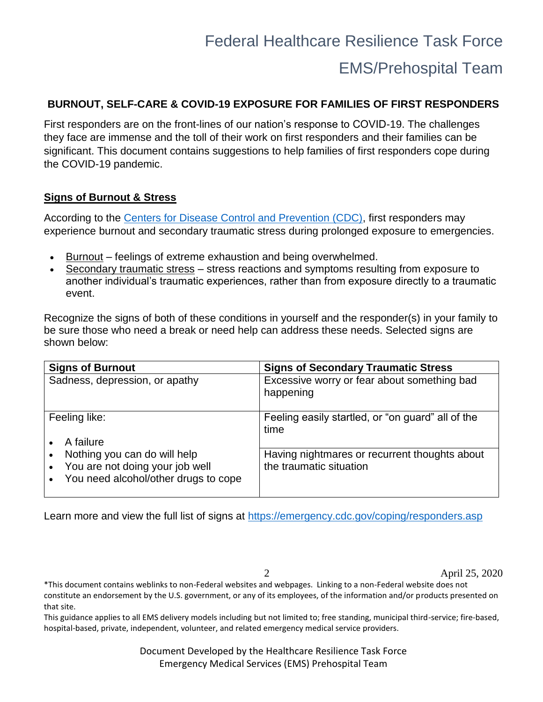### EMS/Prehospital Team

### **BURNOUT, SELF-CARE & COVID-19 EXPOSURE FOR FAMILIES OF FIRST RESPONDERS**

First responders are on the front-lines of our nation's response to COVID-19. The challenges they face are immense and the toll of their work on first responders and their families can be significant. This document contains suggestions to help families of first responders cope during the COVID-19 pandemic.

### **Signs of Burnout & Stress**

According to the [Centers for Disease Control and Prevention \(CDC\),](https://emergency.cdc.gov/coping/responders.asp) first responders may experience burnout and secondary traumatic stress during prolonged exposure to emergencies.

- Burnout feelings of extreme exhaustion and being overwhelmed.
- Secondary traumatic stress stress reactions and symptoms resulting from exposure to another individual's traumatic experiences, rather than from exposure directly to a traumatic event.

Recognize the signs of both of these conditions in yourself and the responder(s) in your family to be sure those who need a break or need help can address these needs. Selected signs are shown below:

| <b>Signs of Burnout</b>                                                                                 | <b>Signs of Secondary Traumatic Stress</b>                               |
|---------------------------------------------------------------------------------------------------------|--------------------------------------------------------------------------|
| Sadness, depression, or apathy                                                                          | Excessive worry or fear about something bad<br>happening                 |
| Feeling like:<br>A failure                                                                              | Feeling easily startled, or "on guard" all of the<br>time                |
| Nothing you can do will help<br>You are not doing your job well<br>You need alcohol/other drugs to cope | Having nightmares or recurrent thoughts about<br>the traumatic situation |

Learn more and view the full list of signs at<https://emergency.cdc.gov/coping/responders.asp>

2 April 25, 2020

\*This document contains weblinks to non-Federal websites and webpages. Linking to a non-Federal website does not constitute an endorsement by the U.S. government, or any of its employees, of the information and/or products presented on that site.

This guidance applies to all EMS delivery models including but not limited to; free standing, municipal third-service; fire-based, hospital-based, private, independent, volunteer, and related emergency medical service providers.

> Document Developed by the Healthcare Resilience Task Force Emergency Medical Services (EMS) Prehospital Team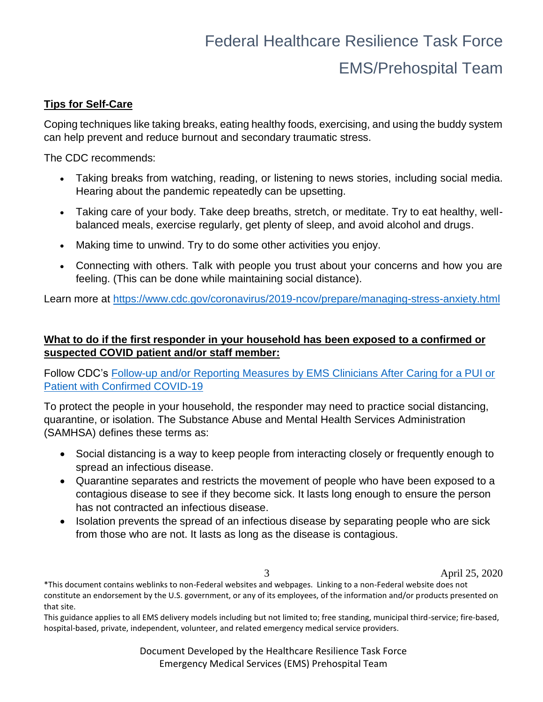# Federal Healthcare Resilience Task Force EMS/Prehospital Team

### **Tips for Self-Care**

Coping techniques like taking breaks, eating healthy foods, exercising, and using the buddy system can help prevent and reduce burnout and secondary traumatic stress.

The CDC recommends:

- Taking breaks from watching, reading, or listening to news stories, including social media. Hearing about the pandemic repeatedly can be upsetting.
- Taking care of your body. Take deep breaths, stretch, or meditate. Try to eat healthy, wellbalanced meals, exercise regularly, get plenty of sleep, and avoid alcohol and drugs.
- Making time to unwind. Try to do some other activities you enjoy.
- Connecting with others. Talk with people you trust about your concerns and how you are feeling. (This can be done while maintaining social distance).

Learn more at<https://www.cdc.gov/coronavirus/2019-ncov/prepare/managing-stress-anxiety.html>

### **What to do if the first responder in your household has been exposed to a confirmed or suspected COVID patient and/or staff member:**

Follow CDC's [Follow-up and/or Reporting Measures by EMS Clinicians After Caring for a PUI or](https://www.cdc.gov/coronavirus/2019-ncov/hcp/guidance-risk-assesment-hcp.html)  [Patient with Confirmed COVID-19](https://www.cdc.gov/coronavirus/2019-ncov/hcp/guidance-risk-assesment-hcp.html)

To protect the people in your household, the responder may need to practice social distancing, quarantine, or isolation. The Substance Abuse and Mental Health Services Administration (SAMHSA) defines these terms as:

- Social distancing is a way to keep people from interacting closely or frequently enough to spread an infectious disease.
- Quarantine separates and restricts the movement of people who have been exposed to a contagious disease to see if they become sick. It lasts long enough to ensure the person has not contracted an infectious disease.
- Isolation prevents the spread of an infectious disease by separating people who are sick from those who are not. It lasts as long as the disease is contagious.

3 April 25, 2020

\*This document contains weblinks to non-Federal websites and webpages. Linking to a non-Federal website does not constitute an endorsement by the U.S. government, or any of its employees, of the information and/or products presented on that site.

This guidance applies to all EMS delivery models including but not limited to; free standing, municipal third-service; fire-based, hospital-based, private, independent, volunteer, and related emergency medical service providers.

> Document Developed by the Healthcare Resilience Task Force Emergency Medical Services (EMS) Prehospital Team